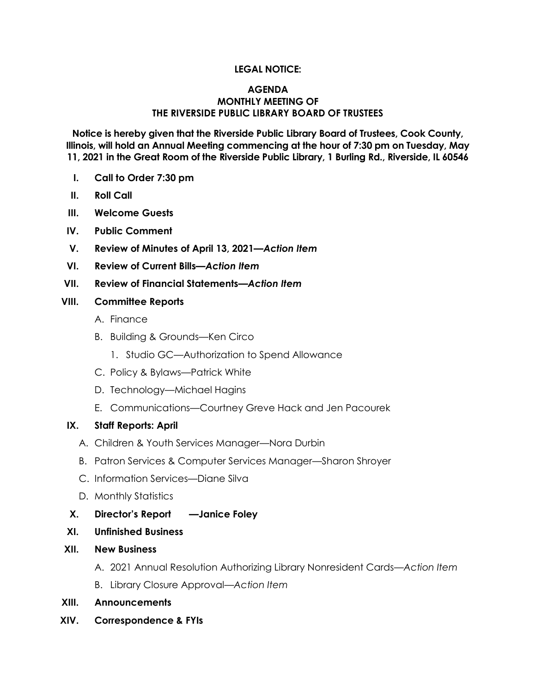#### **LEGAL NOTICE:**

#### **AGENDA MONTHLY MEETING OF THE RIVERSIDE PUBLIC LIBRARY BOARD OF TRUSTEES**

**Notice is hereby given that the Riverside Public Library Board of Trustees, Cook County, Illinois, will hold an Annual Meeting commencing at the hour of 7:30 pm on Tuesday, May 11, 2021 in the Great Room of the Riverside Public Library, 1 Burling Rd., Riverside, IL 60546**

- **I. Call to Order 7:30 pm**
- **II. Roll Call**
- **III. Welcome Guests**
- **IV. Public Comment**
- **V. Review of Minutes of April 13, 2021***—Action Item*
- **VI. Review of Current Bills***—Action Item*
- **VII. Review of Financial Statements***—Action Item*

#### **VIII. Committee Reports**

- A. Finance
- B. Building & Grounds—Ken Circo
	- 1. Studio GC—Authorization to Spend Allowance
- C. Policy & Bylaws—Patrick White
- D. Technology—Michael Hagins
- E. Communications—Courtney Greve Hack and Jen Pacourek

#### **IX. Staff Reports: April**

- A. Children & Youth Services Manager—Nora Durbin
- B. Patron Services & Computer Services Manager—Sharon Shroyer
- C. Information Services—Diane Silva
- D. Monthly Statistics
- **X. Director's Report —Janice Foley**
- **XI. Unfinished Business**
- **XII. New Business**
	- A. 2021 Annual Resolution Authorizing Library Nonresident Cards*—Action Item*
	- B. Library Closure Approval—*Action Item*
- **XIII. Announcements**
- **XIV. Correspondence & FYIs**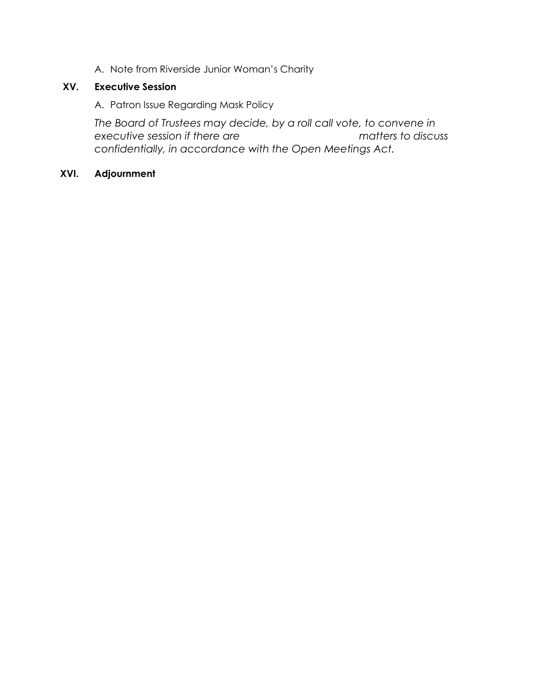A. Note from Riverside Junior Woman's Charity

# **XV. Executive Session**

A. Patron Issue Regarding Mask Policy

*The Board of Trustees may decide, by a roll call vote, to convene in executive session if there are matters to discuss confidentially, in accordance with the Open Meetings Act.*

## **XVI. Adjournment**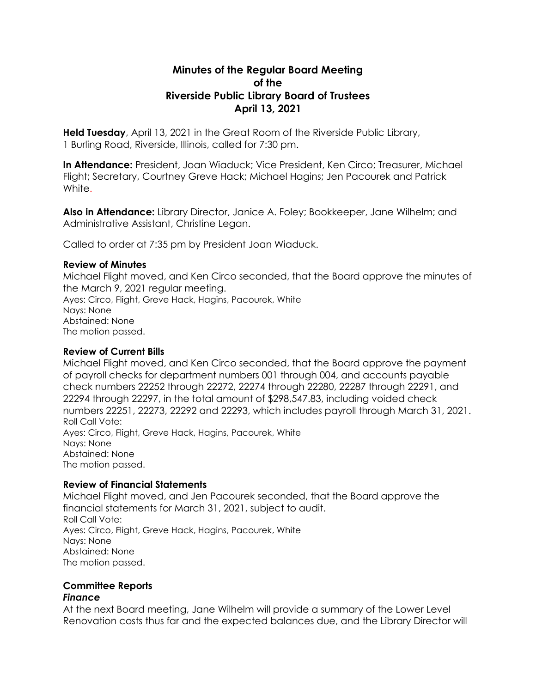# **Minutes of the Regular Board Meeting of the Riverside Public Library Board of Trustees April 13, 2021**

**Held Tuesday**, April 13, 2021 in the Great Room of the Riverside Public Library, 1 Burling Road, Riverside, Illinois, called for 7:30 pm.

**In Attendance:** President, Joan Wiaduck; Vice President, Ken Circo; Treasurer, Michael Flight; Secretary, Courtney Greve Hack; Michael Hagins; Jen Pacourek and Patrick White.

**Also in Attendance:** Library Director, Janice A. Foley; Bookkeeper, Jane Wilhelm; and Administrative Assistant, Christine Legan.

Called to order at 7:35 pm by President Joan Wiaduck.

#### **Review of Minutes**

Michael Flight moved, and Ken Circo seconded, that the Board approve the minutes of the March 9, 2021 regular meeting. Ayes: Circo, Flight, Greve Hack, Hagins, Pacourek, White Nays: None Abstained: None

The motion passed.

## **Review of Current Bills**

Michael Flight moved, and Ken Circo seconded, that the Board approve the payment of payroll checks for department numbers 001 through 004, and accounts payable check numbers 22252 through 22272, 22274 through 22280, 22287 through 22291, and 22294 through 22297, in the total amount of \$298,547.83, including voided check numbers 22251, 22273, 22292 and 22293, which includes payroll through March 31, 2021. Roll Call Vote: Ayes: Circo, Flight, Greve Hack, Hagins, Pacourek, White Nays: None Abstained: None

The motion passed.

## **Review of Financial Statements**

Michael Flight moved, and Jen Pacourek seconded, that the Board approve the financial statements for March 31, 2021, subject to audit. Roll Call Vote: Ayes: Circo, Flight, Greve Hack, Hagins, Pacourek, White Nays: None Abstained: None The motion passed.

# **Committee Reports**

# *Finance*

At the next Board meeting, Jane Wilhelm will provide a summary of the Lower Level Renovation costs thus far and the expected balances due, and the Library Director will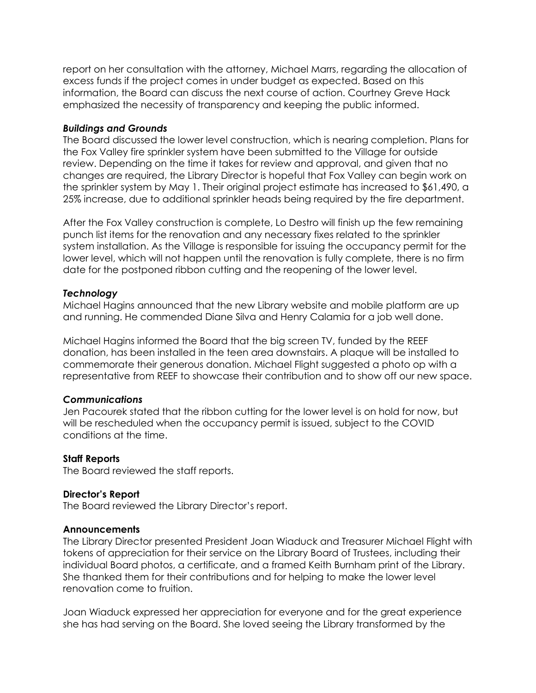report on her consultation with the attorney, Michael Marrs, regarding the allocation of excess funds if the project comes in under budget as expected. Based on this information, the Board can discuss the next course of action. Courtney Greve Hack emphasized the necessity of transparency and keeping the public informed.

#### *Buildings and Grounds*

The Board discussed the lower level construction, which is nearing completion. Plans for the Fox Valley fire sprinkler system have been submitted to the Village for outside review. Depending on the time it takes for review and approval, and given that no changes are required, the Library Director is hopeful that Fox Valley can begin work on the sprinkler system by May 1. Their original project estimate has increased to \$61,490, a 25% increase, due to additional sprinkler heads being required by the fire department.

After the Fox Valley construction is complete, Lo Destro will finish up the few remaining punch list items for the renovation and any necessary fixes related to the sprinkler system installation. As the Village is responsible for issuing the occupancy permit for the lower level, which will not happen until the renovation is fully complete, there is no firm date for the postponed ribbon cutting and the reopening of the lower level.

#### *Technology*

Michael Hagins announced that the new Library website and mobile platform are up and running. He commended Diane Silva and Henry Calamia for a job well done.

Michael Hagins informed the Board that the big screen TV, funded by the REEF donation, has been installed in the teen area downstairs. A plaque will be installed to commemorate their generous donation. Michael Flight suggested a photo op with a representative from REEF to showcase their contribution and to show off our new space.

## *Communications*

Jen Pacourek stated that the ribbon cutting for the lower level is on hold for now, but will be rescheduled when the occupancy permit is issued, subject to the COVID conditions at the time.

#### **Staff Reports**

The Board reviewed the staff reports.

#### **Director's Report**

The Board reviewed the Library Director's report.

#### **Announcements**

The Library Director presented President Joan Wiaduck and Treasurer Michael Flight with tokens of appreciation for their service on the Library Board of Trustees, including their individual Board photos, a certificate, and a framed Keith Burnham print of the Library. She thanked them for their contributions and for helping to make the lower level renovation come to fruition.

Joan Wiaduck expressed her appreciation for everyone and for the great experience she has had serving on the Board. She loved seeing the Library transformed by the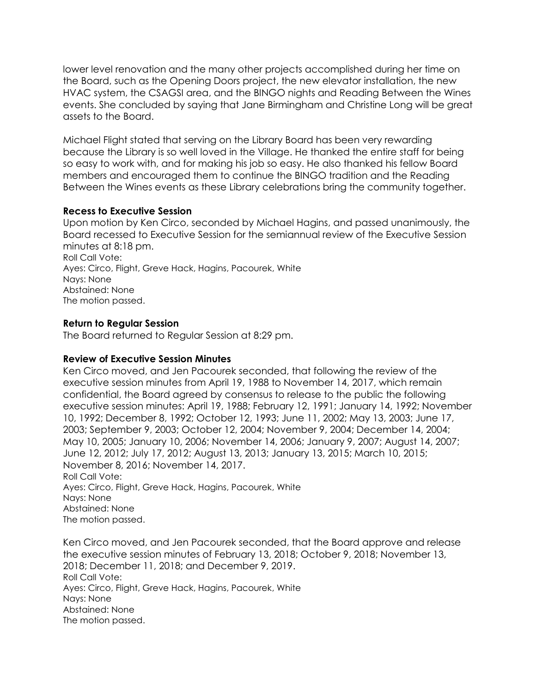lower level renovation and the many other projects accomplished during her time on the Board, such as the Opening Doors project, the new elevator installation, the new HVAC system, the CSAGSI area, and the BINGO nights and Reading Between the Wines events. She concluded by saying that Jane Birmingham and Christine Long will be great assets to the Board.

Michael Flight stated that serving on the Library Board has been very rewarding because the Library is so well loved in the Village. He thanked the entire staff for being so easy to work with, and for making his job so easy. He also thanked his fellow Board members and encouraged them to continue the BINGO tradition and the Reading Between the Wines events as these Library celebrations bring the community together.

#### **Recess to Executive Session**

Upon motion by Ken Circo, seconded by Michael Hagins, and passed unanimously, the Board recessed to Executive Session for the semiannual review of the Executive Session minutes at 8:18 pm. Roll Call Vote: Ayes: Circo, Flight, Greve Hack, Hagins, Pacourek, White Nays: None Abstained: None The motion passed.

#### **Return to Regular Session**

The Board returned to Regular Session at 8:29 pm.

## **Review of Executive Session Minutes**

Ken Circo moved, and Jen Pacourek seconded, that following the review of the executive session minutes from April 19, 1988 to November 14, 2017, which remain confidential, the Board agreed by consensus to release to the public the following executive session minutes: April 19, 1988; February 12, 1991; January 14, 1992; November 10, 1992; December 8, 1992; October 12, 1993; June 11, 2002; May 13, 2003; June 17, 2003; September 9, 2003; October 12, 2004; November 9, 2004; December 14, 2004; May 10, 2005; January 10, 2006; November 14, 2006; January 9, 2007; August 14, 2007; June 12, 2012; July 17, 2012; August 13, 2013; January 13, 2015; March 10, 2015; November 8, 2016; November 14, 2017. Roll Call Vote: Ayes: Circo, Flight, Greve Hack, Hagins, Pacourek, White Nays: None Abstained: None The motion passed.

Ken Circo moved, and Jen Pacourek seconded, that the Board approve and release the executive session minutes of February 13, 2018; October 9, 2018; November 13, 2018; December 11, 2018; and December 9, 2019. Roll Call Vote: Ayes: Circo, Flight, Greve Hack, Hagins, Pacourek, White Nays: None Abstained: None The motion passed.